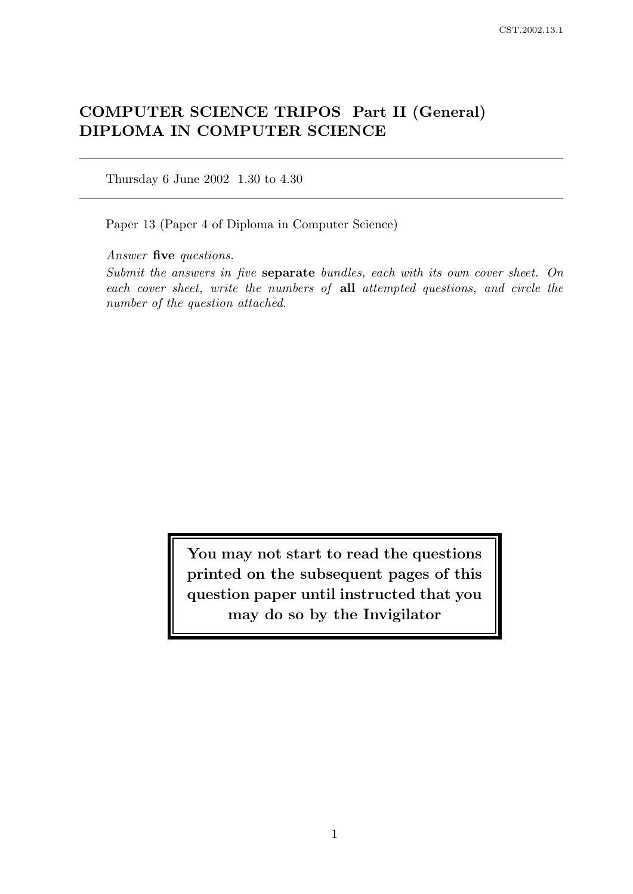# COMPUTER SCIENCE TRIPOS Part II (General) DIPLOMA IN COMPUTER SCIENCE

Thursday 6 June 2002 1.30 to 4.30

Paper 13 (Paper 4 of Diploma in Computer Science)

Answer five questions.

Submit the answers in five separate bundles, each with its own cover sheet. On each cover sheet, write the numbers of all attempted questions, and circle the number of the question attached.

> You may not start to read the questions printed on the subsequent pages of this question paper until instructed that you may do so by the Invigilator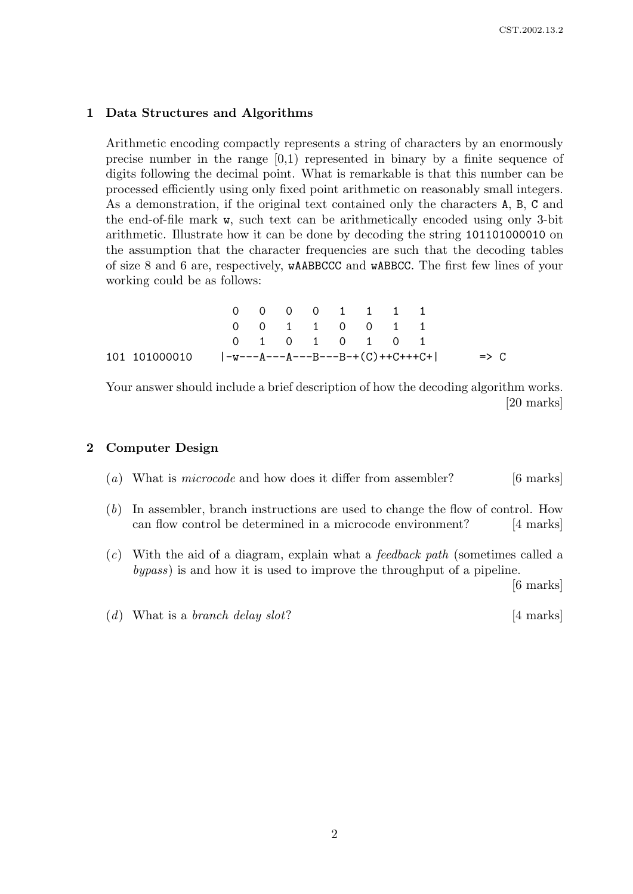#### 1 Data Structures and Algorithms

Arithmetic encoding compactly represents a string of characters by an enormously precise number in the range [0,1) represented in binary by a finite sequence of digits following the decimal point. What is remarkable is that this number can be processed efficiently using only fixed point arithmetic on reasonably small integers. As a demonstration, if the original text contained only the characters A, B, C and the end-of-file mark w, such text can be arithmetically encoded using only 3-bit arithmetic. Illustrate how it can be done by decoding the string 101101000010 on the assumption that the character frequencies are such that the decoding tables of size 8 and 6 are, respectively, wAABBCCC and wABBCC. The first few lines of your working could be as follows:

|               |  | 0 0 0 0 1 1 1 1 |  |  |                                     |                 |
|---------------|--|-----------------|--|--|-------------------------------------|-----------------|
|               |  | 0 0 1 1 0 0 1 1 |  |  |                                     |                 |
|               |  | 0 1 0 1 0 1 0 1 |  |  |                                     |                 |
| 101 101000010 |  |                 |  |  | $ -w---A---A---B---B-+(C)++C+++C+ $ | $\Rightarrow$ C |

Your answer should include a brief description of how the decoding algorithm works. [20 marks]

# 2 Computer Design

- (a) What is *microcode* and how does it differ from assembler?  $[6 \text{ marks}]$
- (b) In assembler, branch instructions are used to change the flow of control. How can flow control be determined in a microcode environment? [4 marks]
- (c) With the aid of a diagram, explain what a feedback path (sometimes called a bypass) is and how it is used to improve the throughput of a pipeline.

[6 marks]

(d) What is a branch delay slot?  $[4 \text{ marks}]$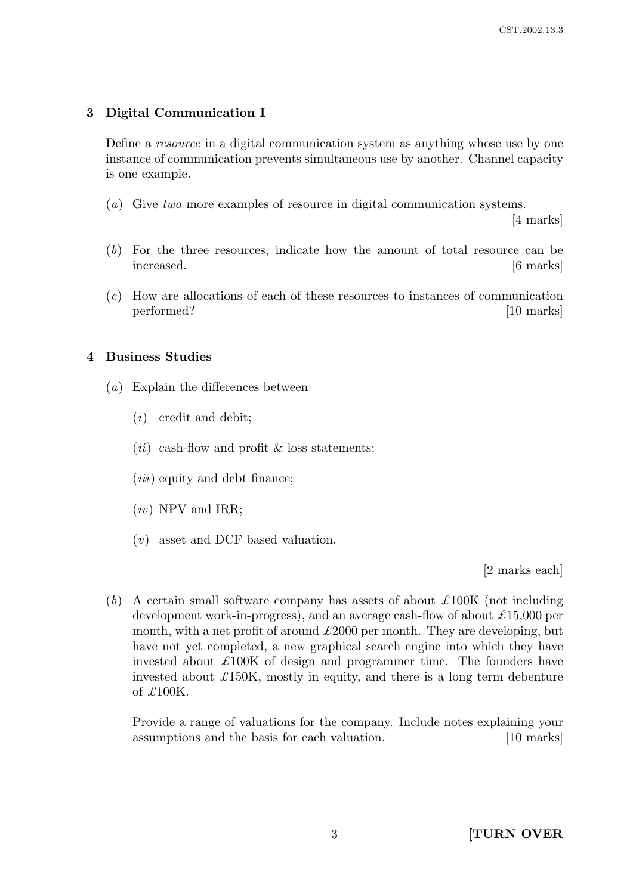# 3 Digital Communication I

Define a resource in a digital communication system as anything whose use by one instance of communication prevents simultaneous use by another. Channel capacity is one example.

(a) Give two more examples of resource in digital communication systems.

[4 marks]

- (b) For the three resources, indicate how the amount of total resource can be increased. [6 marks]
- (c) How are allocations of each of these resources to instances of communication performed? [10 marks]

# 4 Business Studies

- (a) Explain the differences between
	- (i) credit and debit;
	- $(ii)$  cash-flow and profit  $\&$  loss statements;
	- $(iii)$  equity and debt finance;
	- $(iv)$  NPV and IRR;
	- (v) asset and DCF based valuation.

[2 marks each]

(b) A certain small software company has assets of about  $\pounds 100K$  (not including development work-in-progress), and an average cash-flow of about  $\pounds 15,000$  per month, with a net profit of around  $\pounds 2000$  per month. They are developing, but have not yet completed, a new graphical search engine into which they have invested about  $\pounds 100K$  of design and programmer time. The founders have invested about  $\pounds$ 150K, mostly in equity, and there is a long term debenture of  $\pounds100K$ .

Provide a range of valuations for the company. Include notes explaining your assumptions and the basis for each valuation. [10 marks]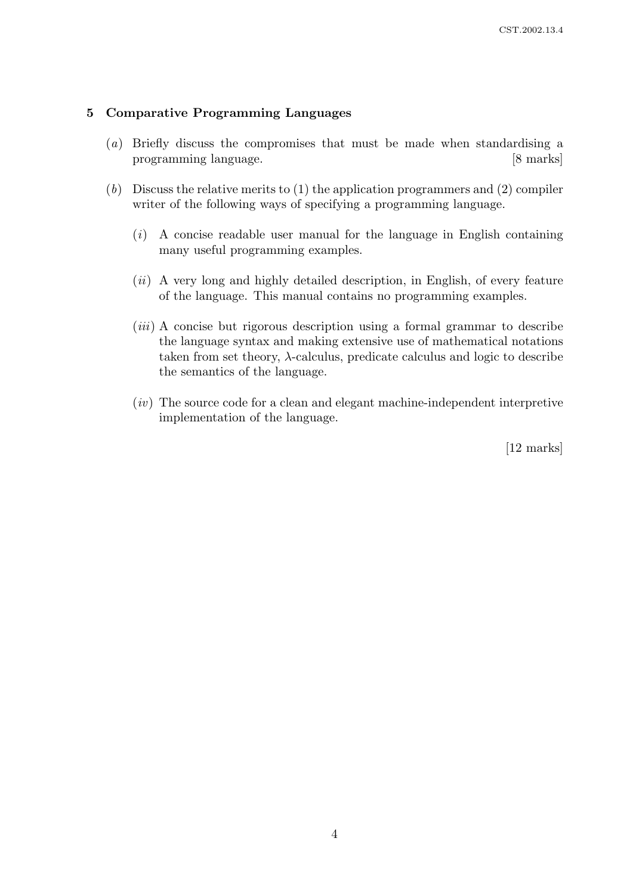## 5 Comparative Programming Languages

- (a) Briefly discuss the compromises that must be made when standardising a programming language. [8 marks]
- (b) Discuss the relative merits to (1) the application programmers and (2) compiler writer of the following ways of specifying a programming language.
	- $(i)$  A concise readable user manual for the language in English containing many useful programming examples.
	- (ii) A very long and highly detailed description, in English, of every feature of the language. This manual contains no programming examples.
	- (*iii*) A concise but rigorous description using a formal grammar to describe the language syntax and making extensive use of mathematical notations taken from set theory,  $\lambda$ -calculus, predicate calculus and logic to describe the semantics of the language.
	- $(iv)$  The source code for a clean and elegant machine-independent interpretive implementation of the language.

[12 marks]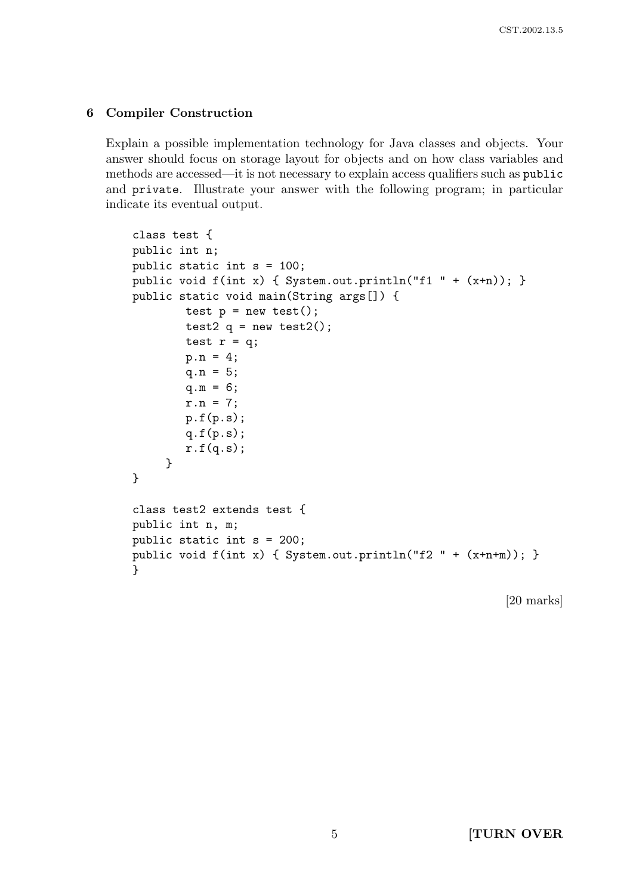## 6 Compiler Construction

Explain a possible implementation technology for Java classes and objects. Your answer should focus on storage layout for objects and on how class variables and methods are accessed—it is not necessary to explain access qualifiers such as public and private. Illustrate your answer with the following program; in particular indicate its eventual output.

```
class test {
public int n;
public static int s = 100;
public void f(int x) { System.out.println("f1 " + (x+n)); }
public static void main(String args[]) {
        test p = new test();
        test2 q = new test2();
        test r = q;
        p.n = 4;q.n = 5;q.m = 6;
        r.n = 7;p.f(p.s);q.f(p.s);r.f(q.s);}
}
class test2 extends test {
public int n, m;
public static int s = 200;
public void f(int x) { System.out.println("f2 " + (x+n+m)); }
}
```
[20 marks]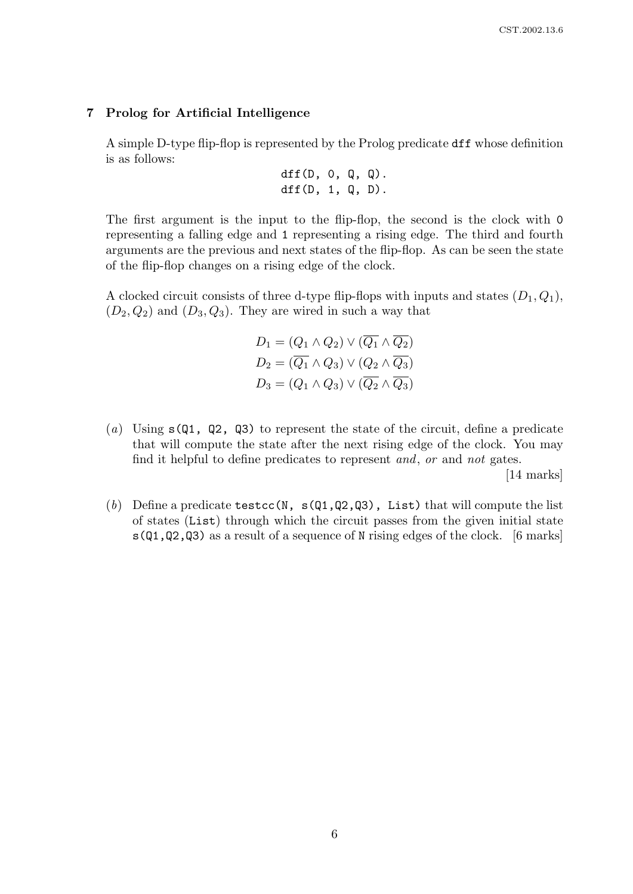#### 7 Prolog for Artificial Intelligence

A simple D-type flip-flop is represented by the Prolog predicate dff whose definition is as follows:

$$
dff(D, 0, Q, Q).
$$
  

$$
dff(D, 1, Q, D).
$$

The first argument is the input to the flip-flop, the second is the clock with 0 representing a falling edge and 1 representing a rising edge. The third and fourth arguments are the previous and next states of the flip-flop. As can be seen the state of the flip-flop changes on a rising edge of the clock.

A clocked circuit consists of three d-type flip-flops with inputs and states  $(D_1, Q_1)$ ,  $(D_2, Q_2)$  and  $(D_3, Q_3)$ . They are wired in such a way that

$$
D_1 = (Q_1 \land Q_2) \lor (\overline{Q_1} \land \overline{Q_2})
$$
  
\n
$$
D_2 = (\overline{Q_1} \land Q_3) \lor (Q_2 \land \overline{Q_3})
$$
  
\n
$$
D_3 = (Q_1 \land Q_3) \lor (\overline{Q_2} \land \overline{Q_3})
$$

(a) Using  $s(0, 1, 0, 0)$  to represent the state of the circuit, define a predicate that will compute the state after the next rising edge of the clock. You may find it helpful to define predicates to represent and, or and not gates.

[14 marks]

(b) Define a predicate testcc(N,  $s(Q1,Q2,Q3)$ , List) that will compute the list of states (List) through which the circuit passes from the given initial state  $s(Q1,Q2,Q3)$  as a result of a sequence of N rising edges of the clock. [6 marks]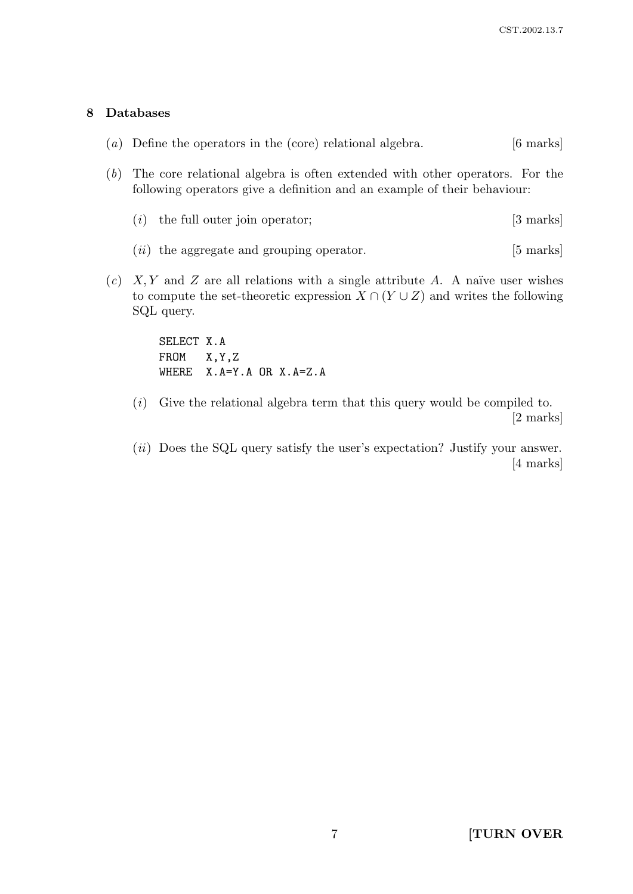## 8 Databases

|  | $(a)$ Define the operators in the (core) relational algebra. |  |  | $[6 \text{ marks}]$ |
|--|--------------------------------------------------------------|--|--|---------------------|
|--|--------------------------------------------------------------|--|--|---------------------|

- (b) The core relational algebra is often extended with other operators. For the following operators give a definition and an example of their behaviour:
	- (*i*) the full outer join operator;  $[3 \text{ marks}]$
	- $(ii)$  the aggregate and grouping operator. [5 marks]
- (c)  $X, Y$  and Z are all relations with a single attribute A. A naïve user wishes to compute the set-theoretic expression  $X \cap (Y \cup Z)$  and writes the following SQL query.

SELECT X.A FROM X,Y,Z WHERE X.A=Y.A OR X.A=Z.A

- $(i)$  Give the relational algebra term that this query would be compiled to. [2 marks]
- (*ii*) Does the SQL query satisfy the user's expectation? Justify your answer. [4 marks]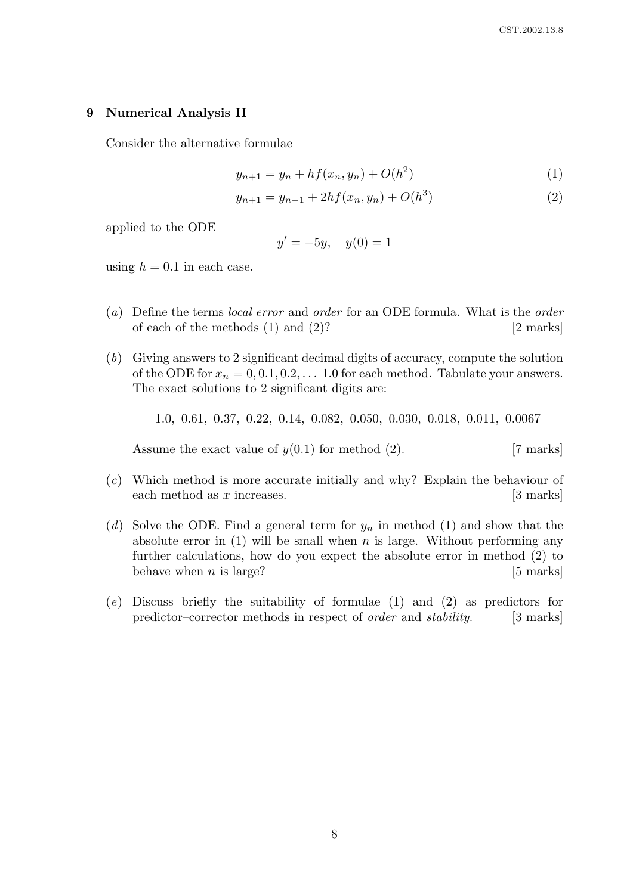#### 9 Numerical Analysis II

Consider the alternative formulae

$$
y_{n+1} = y_n + h f(x_n, y_n) + O(h^2)
$$
 (1)

$$
y_{n+1} = y_{n-1} + 2hf(x_n, y_n) + O(h^3)
$$
\n(2)

applied to the ODE

$$
y' = -5y, \quad y(0) = 1
$$

using  $h = 0.1$  in each case.

- (a) Define the terms local error and order for an ODE formula. What is the order of each of the methods  $(1)$  and  $(2)$ ? [2 marks]
- (b) Giving answers to 2 significant decimal digits of accuracy, compute the solution of the ODE for  $x_n = 0, 0.1, 0.2, \ldots, 1.0$  for each method. Tabulate your answers. The exact solutions to 2 significant digits are:

1.0, 0.61, 0.37, 0.22, 0.14, 0.082, 0.050, 0.030, 0.018, 0.011, 0.0067

Assume the exact value of  $y(0.1)$  for method (2). [7 marks]

- (c) Which method is more accurate initially and why? Explain the behaviour of each method as  $x$  increases.  $[3 \text{ marks}]$
- (d) Solve the ODE. Find a general term for  $y_n$  in method (1) and show that the absolute error in  $(1)$  will be small when n is large. Without performing any further calculations, how do you expect the absolute error in method (2) to behave when  $n$  is large? [5 marks]
- (e) Discuss briefly the suitability of formulae (1) and (2) as predictors for predictor–corrector methods in respect of *order* and *stability*. [3 marks]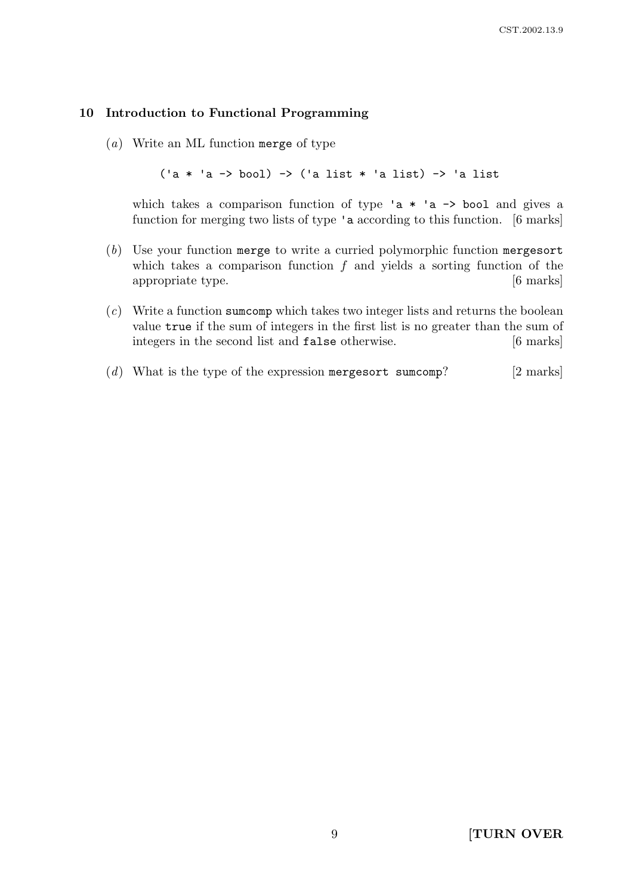#### 10 Introduction to Functional Programming

(a) Write an ML function merge of type

('a \* 'a -> bool) -> ('a list \* 'a list) -> 'a list

which takes a comparison function of type 'a  $*$  'a  $\rightarrow$  bool and gives a function for merging two lists of type 'a according to this function. [6 marks]

- (b) Use your function merge to write a curried polymorphic function mergesort which takes a comparison function  $f$  and yields a sorting function of the appropriate type. [6 marks]
- (c) Write a function sumcomp which takes two integer lists and returns the boolean value true if the sum of integers in the first list is no greater than the sum of integers in the second list and **false** otherwise. [6 marks]
- (d) What is the type of the expression merges or t sumcomp? [2 marks]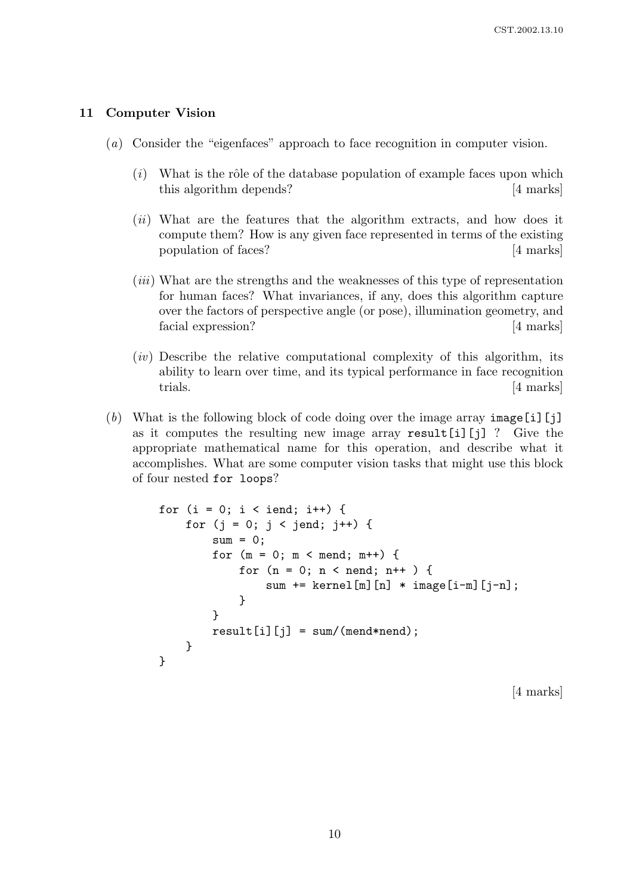#### 11 Computer Vision

- (a) Consider the "eigenfaces" approach to face recognition in computer vision.
	- $(i)$  What is the rôle of the database population of example faces upon which this algorithm depends? [4 marks]
	- (*ii*) What are the features that the algorithm extracts, and how does it compute them? How is any given face represented in terms of the existing population of faces? [4 marks]
	- (iii) What are the strengths and the weaknesses of this type of representation for human faces? What invariances, if any, does this algorithm capture over the factors of perspective angle (or pose), illumination geometry, and facial expression? [4 marks]
	- $(iv)$  Describe the relative computational complexity of this algorithm, its ability to learn over time, and its typical performance in face recognition trials. [4 marks]
- (b) What is the following block of code doing over the image array  $\text{image}[i][j]$ as it computes the resulting new image array result[i][j] ? Give the appropriate mathematical name for this operation, and describe what it accomplishes. What are some computer vision tasks that might use this block of four nested for loops?

```
for (i = 0; i < iend; i++) {
    for (j = 0; j < jend; j++) {
        sum = 0;
        for (m = 0; m < mend; m^{++}) {
            for (n = 0; n < nend; n++ ) {
                sum += kernel[m][n] * image[i-m][j-n];
            }
        }
        result[i][j] = sum/(mend*nend);}
}
```
[4 marks]